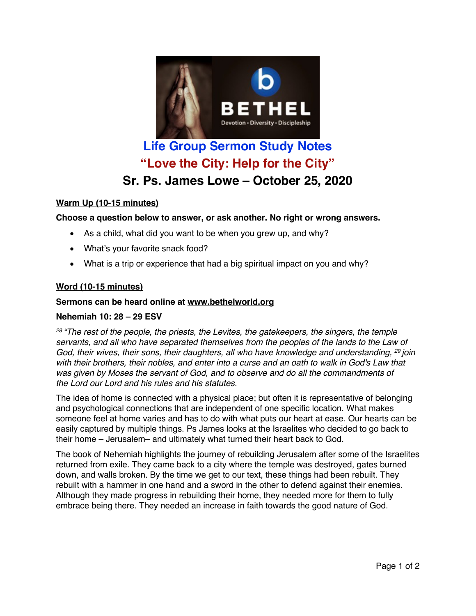

# **Life Group Sermon Study Notes "Love the City: Help for the City" Sr. Ps. James Lowe – October 25, 2020**

## **Warm Up (10-15 minutes)**

### **Choose a question below to answer, or ask another. No right or wrong answers.**

- As a child, what did you want to be when you grew up, and why?
- What's your favorite snack food?
- What is a trip or experience that had a big spiritual impact on you and why?

### **Word (10-15 minutes)**

## **Sermons can be heard online at www.bethelworld.org**

### **Nehemiah 10: 28 – 29 ESV**

*<sup>28</sup> "The rest of the people, the priests, the Levites, the gatekeepers, the singers, the temple servants, and all who have separated themselves from the peoples of the lands to the Law of God, their wives, their sons, their daughters, all who have knowledge and understanding, <sup>29</sup> join* with their brothers, their nobles, and enter into a curse and an oath to walk in God's Law that *was given by Moses the servant of God, and to observe and do all the commandments of the Lord our Lord and his rules and his statutes.*

The idea of home is connected with a physical place; but often it is representative of belonging and psychological connections that are independent of one specific location. What makes someone feel at home varies and has to do with what puts our heart at ease. Our hearts can be easily captured by multiple things. Ps James looks at the Israelites who decided to go back to their home – Jerusalem– and ultimately what turned their heart back to God.

The book of Nehemiah highlights the journey of rebuilding Jerusalem after some of the Israelites returned from exile. They came back to a city where the temple was destroyed, gates burned down, and walls broken. By the time we get to our text, these things had been rebuilt. They rebuilt with a hammer in one hand and a sword in the other to defend against their enemies. Although they made progress in rebuilding their home, they needed more for them to fully embrace being there. They needed an increase in faith towards the good nature of God.